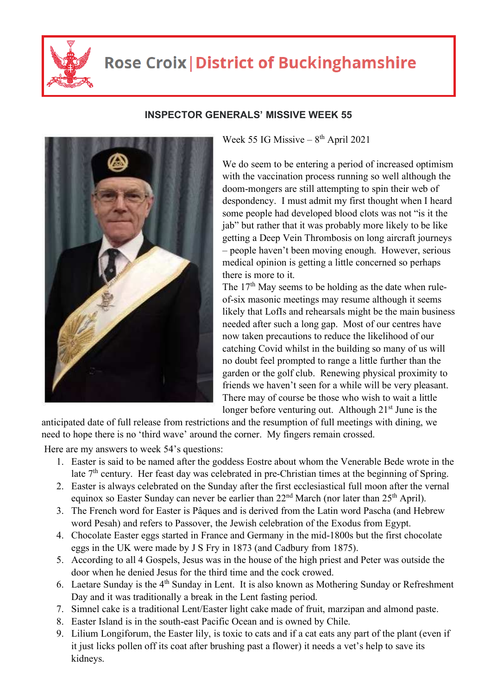

## **Rose Croix | District of Buckinghamshire**



## **INSPECTOR GENERALS' MISSIVE WEEK 55**

Week 55 IG Missive –  $8<sup>th</sup>$  April 2021

We do seem to be entering a period of increased optimism with the vaccination process running so well although the doom-mongers are still attempting to spin their web of despondency. I must admit my first thought when I heard some people had developed blood clots was not "is it the jab" but rather that it was probably more likely to be like getting a Deep Vein Thrombosis on long aircraft journeys – people haven't been moving enough. However, serious medical opinion is getting a little concerned so perhaps there is more to it.

The  $17<sup>th</sup>$  May seems to be holding as the date when ruleof-six masonic meetings may resume although it seems likely that LofIs and rehearsals might be the main business needed after such a long gap. Most of our centres have now taken precautions to reduce the likelihood of our catching Covid whilst in the building so many of us will no doubt feel prompted to range a little further than the garden or the golf club. Renewing physical proximity to friends we haven't seen for a while will be very pleasant. There may of course be those who wish to wait a little longer before venturing out. Although  $21<sup>st</sup>$  June is the

anticipated date of full release from restrictions and the resumption of full meetings with dining, we need to hope there is no 'third wave' around the corner. My fingers remain crossed.

Here are my answers to week 54's questions:

- 1. Easter is said to be named after the goddess Eostre about whom the Venerable Bede wrote in the late  $7<sup>th</sup>$  century. Her feast day was celebrated in pre-Christian times at the beginning of Spring.
- 2. Easter is always celebrated on the Sunday after the first ecclesiastical full moon after the vernal equinox so Easter Sunday can never be earlier than  $22<sup>nd</sup>$  March (nor later than  $25<sup>th</sup>$  April).
- 3. The French word for Easter is Pâques and is derived from the Latin word Pascha (and Hebrew word Pesah) and refers to Passover, the Jewish celebration of the Exodus from Egypt.
- 4. Chocolate Easter eggs started in France and Germany in the mid-1800s but the first chocolate eggs in the UK were made by J S Fry in 1873 (and Cadbury from 1875).
- 5. According to all 4 Gospels, Jesus was in the house of the high priest and Peter was outside the door when he denied Jesus for the third time and the cock crowed.
- 6. Laetare Sunday is the 4<sup>th</sup> Sunday in Lent. It is also known as Mothering Sunday or Refreshment Day and it was traditionally a break in the Lent fasting period.
- 7. Simnel cake is a traditional Lent/Easter light cake made of fruit, marzipan and almond paste.
- 8. Easter Island is in the south-east Pacific Ocean and is owned by Chile.
- 9. Lilium Longiforum, the Easter lily, is toxic to cats and if a cat eats any part of the plant (even if it just licks pollen off its coat after brushing past a flower) it needs a vet's help to save its kidneys.